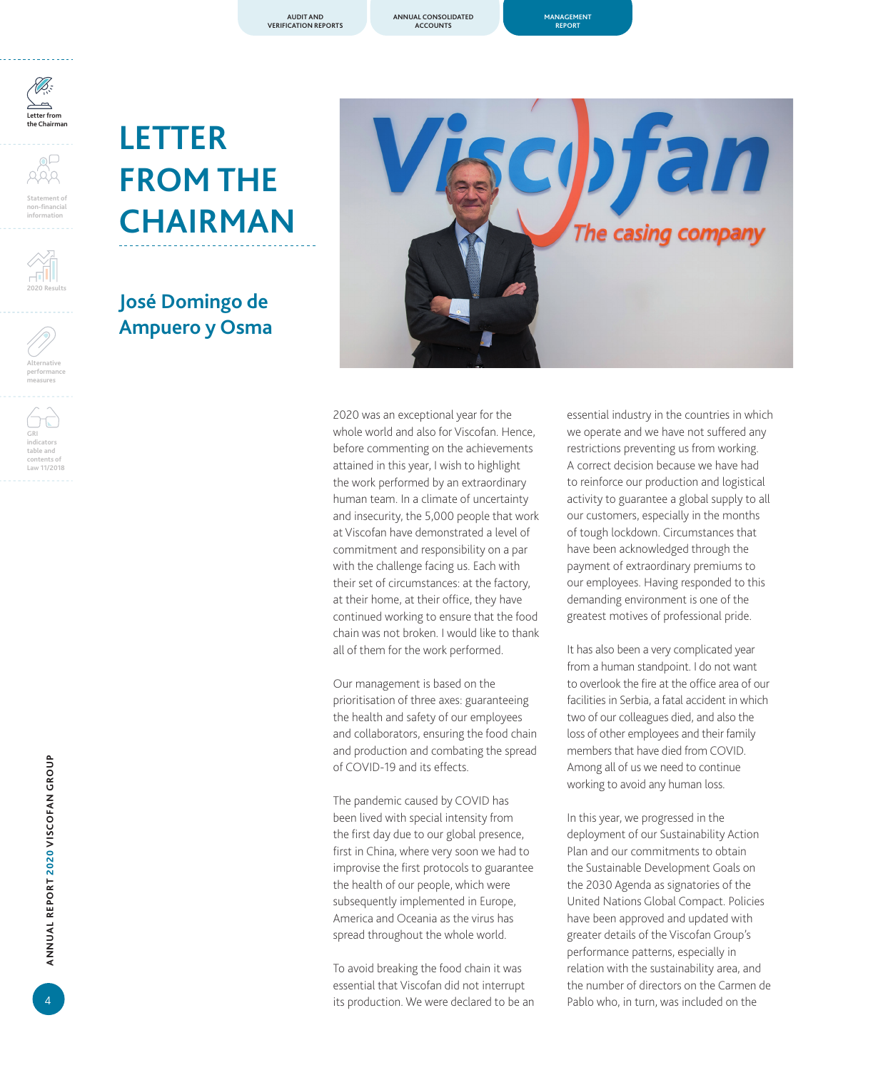**ANNUAL CONSOLIDATED ACCOUNTS**



**Statement of non-financial information**



**Alternative performance measures**

**GRI indicators table and contents of**  Law 11/2018



## **José Domingo de Ampuero y Osma**



2020 was an exceptional year for the whole world and also for Viscofan. Hence, before commenting on the achievements attained in this year, I wish to highlight the work performed by an extraordinary human team. In a climate of uncertainty and insecurity, the 5,000 people that work at Viscofan have demonstrated a level of commitment and responsibility on a par with the challenge facing us. Each with their set of circumstances: at the factory, at their home, at their office, they have continued working to ensure that the food chain was not broken. I would like to thank all of them for the work performed.

Our management is based on the prioritisation of three axes: guaranteeing the health and safety of our employees and collaborators, ensuring the food chain and production and combating the spread of COVID-19 and its effects.

The pandemic caused by COVID has been lived with special intensity from the first day due to our global presence, first in China, where very soon we had to improvise the first protocols to guarantee the health of our people, which were subsequently implemented in Europe, America and Oceania as the virus has spread throughout the whole world.

To avoid breaking the food chain it was essential that Viscofan did not interrupt its production. We were declared to be an essential industry in the countries in which we operate and we have not suffered any restrictions preventing us from working. A correct decision because we have had to reinforce our production and logistical activity to guarantee a global supply to all our customers, especially in the months of tough lockdown. Circumstances that have been acknowledged through the payment of extraordinary premiums to our employees. Having responded to this demanding environment is one of the greatest motives of professional pride.

It has also been a very complicated year from a human standpoint. I do not want to overlook the fire at the office area of our facilities in Serbia, a fatal accident in which two of our colleagues died, and also the loss of other employees and their family members that have died from COVID. Among all of us we need to continue working to avoid any human loss.

In this year, we progressed in the deployment of our Sustainability Action Plan and our commitments to obtain the Sustainable Development Goals on the 2030 Agenda as signatories of the United Nations Global Compact. Policies have been approved and updated with greater details of the Viscofan Group's performance patterns, especially in relation with the sustainability area, and the number of directors on the Carmen de Pablo who, in turn, was included on the